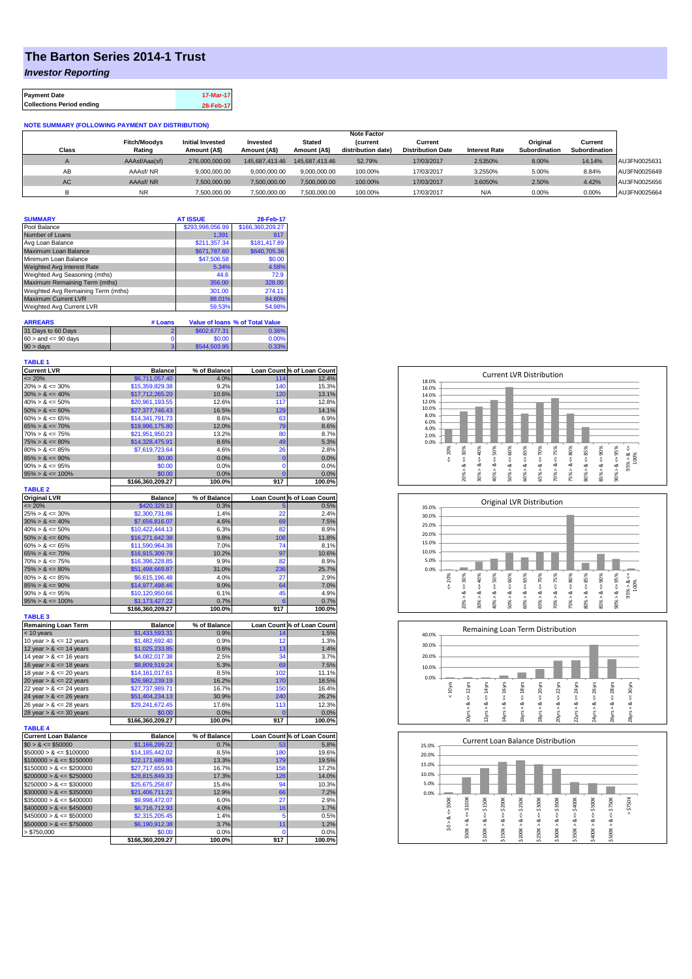## **The Barton Series 2014-1 Trust**

*Investor Reporting*

| <b>Payment Date</b>              | 17-Mar-17 |
|----------------------------------|-----------|
| <b>Collections Period ending</b> | 28-Feb-17 |

## **NOTE SUMMARY (FOLLOWING PAYMENT DAY DISTRIBUTION)**

|           |                     |                         |                |                | <b>Note Factor</b> |                          |                      |               |               |              |
|-----------|---------------------|-------------------------|----------------|----------------|--------------------|--------------------------|----------------------|---------------|---------------|--------------|
|           | <b>Fitch/Moodys</b> | <b>Initial Invested</b> | Invested       | Stated         | <b>Current</b>     | Current                  |                      | Original      | Current       |              |
| Class     | Rating              | Amount (A\$)            | Amount (A\$)   | Amount (A\$)   | distribution date) | <b>Distribution Date</b> | <b>Interest Rate</b> | Subordination | Subordination |              |
|           | AAAsf/Aaa(sf)       | 276,000,000,00          | 145.687.413.46 | 145.687.413.46 | 52.79%             | 17/03/2017               | 2.5350%              | 8.00%         | 14.14%        | AU3FN0025631 |
| AB        | AAAsf/NR            | 9,000,000.00            | 9.000.000.00   | 9.000.000.00   | 100.00%            | 17/03/2017               | 3.2550%              | 5.00%         | 8.84%         | AU3FN0025649 |
| <b>AC</b> | AAAsf/NR            | 7,500,000.00            | 7.500.000.00   | 7.500.000.00   | 100.00%            | 17/03/2017               | 3.6050%              | 2.50%         | 4.42%         | AU3FN0025656 |
|           | <b>NR</b>           | ,500,000.00             | 7.500.000.00   | 7,500,000.00   | 100.00%            | 17/03/2017               | N/A                  | 0.00%         | 0.00%         | AU3FN0025664 |

| <b>SUMMARY</b>                     |                   | <b>AT ISSUE</b>  | 28-Feb-17                                        |
|------------------------------------|-------------------|------------------|--------------------------------------------------|
| Pool Balance                       |                   | \$293,998,056.99 | \$166.360.209.27                                 |
| Number of Loans                    |                   | 1.391            | 917                                              |
| Avg Loan Balance                   |                   | \$211,357.34     | \$181.417.89                                     |
| Maximum Loan Balance               |                   | \$671,787.60     | \$640,705.36                                     |
| Minimum Loan Balance               |                   | \$47,506.58      | \$0.00                                           |
| Weighted Avg Interest Rate         |                   | 5.34%            | 4.58%                                            |
| Weighted Avg Seasoning (mths)      |                   | 44.6             | 72.9                                             |
| Maximum Remaining Term (mths)      |                   | 356.00           | 328.00                                           |
| Weighted Avg Remaining Term (mths) |                   | 301.00           | 274.11                                           |
| <b>Maximum Current LVR</b>         |                   | 88.01%           | 84.60%                                           |
| Weighted Avg Current LVR           |                   | 59.53%           | 54.98%                                           |
| <b>ARREARS</b>                     |                   |                  |                                                  |
| 04.010.00.0                        | # Loans<br>$\sim$ | 000007201        | <b>Value of loans % of Total Value</b><br>0.0001 |

| 31 Days to 60 Days        | \$602,677,31 | 0.36%    |
|---------------------------|--------------|----------|
| $60 >$ and $\leq 90$ days | \$0.00       | $0.00\%$ |
| $90 >$ days               | \$544,503.95 | 0.33%    |

| П<br>п<br>. .<br> | ٠ |
|-------------------|---|

| <b>Current LVR</b>             | <b>Balance</b>             | % of Balance   |                | Loan Count % of Loan Count |
|--------------------------------|----------------------------|----------------|----------------|----------------------------|
| $= 20%$                        | \$6,711,057.40             | 4.0%           | 114            | 12.4%                      |
| $20\% > 8 \le 30\%$            | \$15,359,829.38            | 9.2%           | 140            | 15.3%                      |
| $30\% > 8 \le 40\%$            | \$17,712,265.20            | 10.6%          | 120            | 13.1%                      |
| $40\% > 8 \le 50\%$            | \$20,961,193.55            | 12.6%          | 117            | 12.8%                      |
| $50\% > 8 \le 60\%$            | \$27,377,746.43            | 16.5%          | 129            | 14.1%                      |
| $60\% > 8 \le 65\%$            | \$14,341,791.73            | 8.6%           | 63             | 6.9%                       |
| $65\% > 8 \le 70\%$            | \$19,996,175.80            | 12.0%          | 79             | 8.6%                       |
| $70\% > 8 \le 75\%$            | \$21,951,950.23            | 13.2%          | 80             | 8.7%                       |
| $75\% > 8 \le 80\%$            | \$14,328,475.91            | 8.6%           | 49             | 5.3%                       |
| $80\% > 8 \le 85\%$            | \$7,619,723.64             | 4.6%           | 26             | 2.8%                       |
| $85\% > 8 \le 90\%$            | \$0.00                     | 0.0%           | $\overline{0}$ | 0.0%                       |
| $90\% > 8 \le 95\%$            | \$0.00                     | 0.0%           | $\mathbf 0$    | 0.0%                       |
| $95\% > 8 \le 100\%$           | \$0.00                     | 0.0%           | Ō              | 0.0%                       |
|                                | \$166,360,209.27           | 100.0%         | 917            | 100.0%                     |
| <b>TABLE 2</b>                 |                            |                |                |                            |
| <b>Original LVR</b>            | <b>Balance</b>             | % of Balance   |                | Loan Count % of Loan Count |
| $\frac{25\%}{25\%}$ > & <= 30% | \$420,329.13               | 0.3%           | 5              | 0.5%                       |
|                                | \$2,300,731.86             | 1.4%           | 22             | 2.4%                       |
| $30\% > 8 \le 40\%$            | \$7,656,816.07             | 4.6%           | 69             | 7.5%                       |
| $40\% > 8 \le 50\%$            | \$10.422.444.13            | 6.3%           | 82             | 8.9%                       |
| $50\% > 8 \le 60\%$            | \$16,271,642.38            | 9.8%           | 108            | 11.8%                      |
| $60\% > 8 \le 65\%$            | \$11,590,964.38            | 7.0%           | 74             | 8.1%                       |
| $65\% > 8 \le 70\%$            | \$16,915,309.78            | 10.2%          | 97             | 10.6%                      |
| $70\% > 8 \le 75\%$            | \$16,396,228.85            | 9.9%           | 82             | 8.9%                       |
| $75\% > 8 \le 80\%$            | \$51,498,669.87            | 31.0%          | 236            | 25.7%                      |
| $80\% > 8 \le 85\%$            | \$6,615,196.48             | 4.0%           | 27             | 2.9%                       |
| $85\% > 8 \le 90\%$            | \$14,977,498.46            | 9.0%           | 64             | 7.0%                       |
| $90\% > 8 \le 95\%$            | \$10,120,950.66            | 6.1%           | 45             | 4.9%                       |
| $95\% > 8 \le 100\%$           | \$1,173,427.22             | 0.7%           | 6              | 0.7%                       |
|                                |                            |                |                |                            |
|                                | \$166,360,209.27           | 100.0%         | 917            | 100.0%                     |
| <b>TABLE 3</b>                 |                            |                |                |                            |
| <b>Remaining Loan Term</b>     | <b>Balance</b>             | % of Balance   |                | Loan Count % of Loan Count |
| < 10 years                     | \$1,433,593.31             | 0.9%           | 14             | 1.5%                       |
| 10 year $> 8 \le 12$ years     | \$1,482,692.40             | 0.9%           | 12             | 1.3%                       |
| 12 year $> 8 \le 14$ years     | \$1,025,233.85             | 0.6%           | 13             | 1.4%                       |
| 14 year $> 8 \le 16$ years     | \$4,082,017,38             | 2.5%           | 34             | 3.7%                       |
| 16 year $> 8 \le 18$ years     | \$8,809,519.24             | 5.3%           | 69             | 7.5%                       |
| 18 year $> 8 \le 20$ years     | \$14,161,017.61            | 8.5%           | 102            | 11.1%                      |
| 20 year $> 8 \le 22$ years     | \$26,982,239.19            | 16.2%          | 170            | 18.5%                      |
| 22 year $> 8 \le 24$ years     | \$27,737,989.71            | 16.7%          | 150            | 16.4%                      |
| 24 year $> 8 \le 26$ years     | \$51,404,234.13            | 30.9%          | 240            | 26.2%                      |
| 26 year $> 8 \le 28$ years     | \$29,241,672.45            | 17.6%          | 113            | 12.3%                      |
| 28 year $> 8 \le 30$ years     | \$0.00                     | 0.0%           | $\overline{0}$ | 0.0%                       |
|                                | \$166,360,209.27           | 100.0%         | 917            | 100.0%                     |
| <b>TABLE 4</b>                 |                            |                |                |                            |
| <b>Current Loan Balance</b>    | <b>Balance</b>             | % of Balance   |                | Loan Count % of Loan Count |
| $$0 > 8 \le $50000$            | \$1,166,299.22             | 0.7%           | 53             | 5.8%                       |
| $$50000 > 8 \le $100000$       | \$14,185,442.02            | 8.5%           | 180            | 19.6%                      |
| $$100000 > 8 \le $150000$      | \$22,171,689.86            | 13.3%          | 179            | 19.5%                      |
| $$150000 > 8 \le $200000$      | \$27,717,655.93            | 16.7%          | 158            | 17.2%                      |
| $$200000 > 8 \leq $250000$     | \$28,815,849.33            | 17.3%          | 128            | 14.0%                      |
| $$250000 > 8 \leq $300000$     | \$25,675,258.87            | 15.4%          | 94             | 10.3%                      |
| $$300000 > 8 \leq $350000$     | \$21,406,711.21            | 12.9%          | 66             | 7.2%                       |
| $$350000 > 8 \leq $400000$     | \$9,998,472.07             | 6.0%           | 27             | 2.9%                       |
| $$400000 > 8 \leq $450000$     | \$6,716,712.93             | 4.0%           | 16             | 1.7%                       |
| $$450000 > 8 \le $500000$      | \$2,315,205.45             | 1.4%           | 5              | 0.5%                       |
| $$500000 > 8 \leq $750000$     | \$6,190,912.38             | 3.7%           | 11             | 1.2%                       |
| > \$750,000                    | \$0.00<br>\$166,360,209.27 | 0.0%<br>100.0% | 0<br>917       | 0.0%<br>100.0%             |